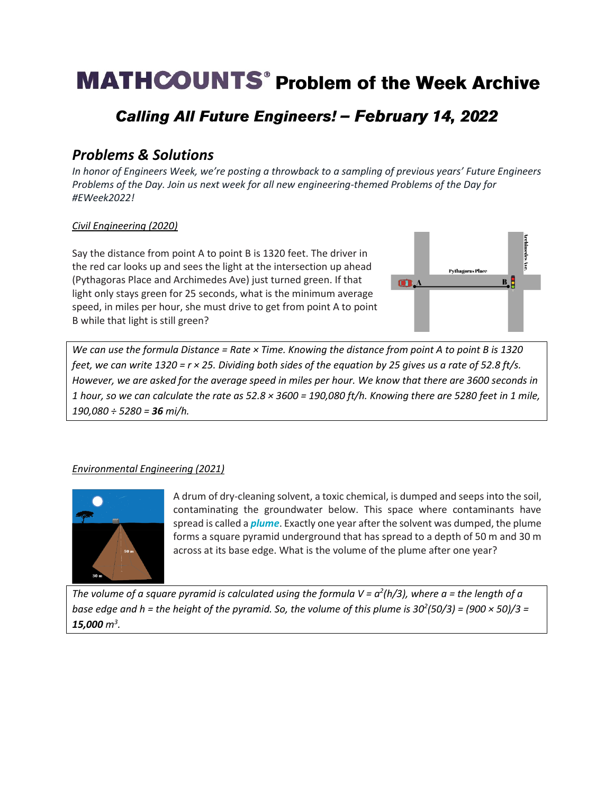# **MATHCOUNTS<sup>®</sup> Problem of the Week Archive**

# Calling All Future Engineers! - February 14, 2022

# *Problems & Solutions*

*In honor of Engineers Week, we're posting a throwback to a sampling of previous years' Future Engineers Problems of the Day. Join us next week for all new engineering-themed Problems of the Day for #EWeek2022!*

### *Civil Engineering (2020)*

Say the distance from point A to point B is 1320 feet. The driver in the red car looks up and sees the light at the intersection up ahead (Pythagoras Place and Archimedes Ave) just turned green. If that light only stays green for 25 seconds, what is the minimum average speed, in miles per hour, she must drive to get from point A to point B while that light is still green?



*We can use the formula Distance = Rate × Time. Knowing the distance from point A to point B is 1320 feet, we can write 1320 = r × 25. Dividing both sides of the equation by 25 gives us a rate of 52.8 ft/s. However, we are asked for the average speed in miles per hour. We know that there are 3600 seconds in 1 hour, so we can calculate the rate as 52.8 × 3600 = 190,080 ft/h. Knowing there are 5280 feet in 1 mile, 190,080 ÷ 5280 = 36 mi/h.* 

### *Environmental Engineering (2021)*



A drum of dry-cleaning solvent, a toxic chemical, is dumped and seeps into the soil, contaminating the groundwater below. This space where contaminants have spread is called a *plume*. Exactly one year after the solvent was dumped, the plume forms a square pyramid underground that has spread to a depth of 50 m and 30 m across at its base edge. What is the volume of the plume after one year?

*The volume of a square pyramid is calculated using the formula V = a<sup>2</sup> (h/3), where a = the length of a base edge and h = the height of the pyramid. So, the volume of this plume is 30<sup>2</sup> (50/3) = (900 × 50)/3 = 15,000 m<sup>3</sup> .*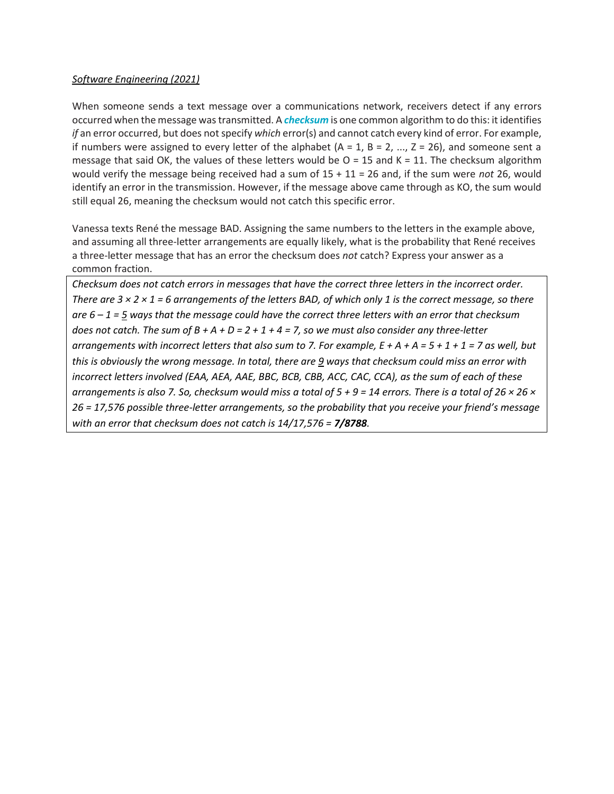#### *Software Engineering (2021)*

When someone sends a text message over a communications network, receivers detect if any errors occurred when the message was transmitted. A *checksum* is one common algorithm to do this: it identifies *if* an error occurred, but does not specify *which* error(s) and cannot catch every kind of error. For example, if numbers were assigned to every letter of the alphabet  $(A = 1, B = 2, ..., Z = 26)$ , and someone sent a message that said OK, the values of these letters would be  $O = 15$  and  $K = 11$ . The checksum algorithm would verify the message being received had a sum of 15 + 11 = 26 and, if the sum were *not* 26, would identify an error in the transmission. However, if the message above came through as KO, the sum would still equal 26, meaning the checksum would not catch this specific error.

Vanessa texts René the message BAD. Assigning the same numbers to the letters in the example above, and assuming all three-letter arrangements are equally likely, what is the probability that René receives a three-letter message that has an error the checksum does *not* catch? Express your answer as a common fraction.

*Checksum does not catch errors in messages that have the correct three letters in the incorrect order. There are 3 × 2 × 1 = 6 arrangements of the letters BAD, of which only 1 is the correct message, so there are 6 – 1 = 5 ways that the message could have the correct three letters with an error that checksum does not catch. The sum of B + A + D = 2 + 1 + 4 = 7, so we must also consider any three-letter arrangements with incorrect letters that also sum to 7. For example, E + A + A = 5 + 1 + 1 = 7 as well, but this is obviously the wrong message. In total, there are 9 ways that checksum could miss an error with incorrect letters involved (EAA, AEA, AAE, BBC, BCB, CBB, ACC, CAC, CCA), as the sum of each of these arrangements is also 7. So, checksum would miss a total of 5 + 9 = 14 errors. There is a total of 26 × 26 × 26 = 17,576 possible three-letter arrangements, so the probability that you receive your friend's message with an error that checksum does not catch is 14/17,576 = 7/8788.*